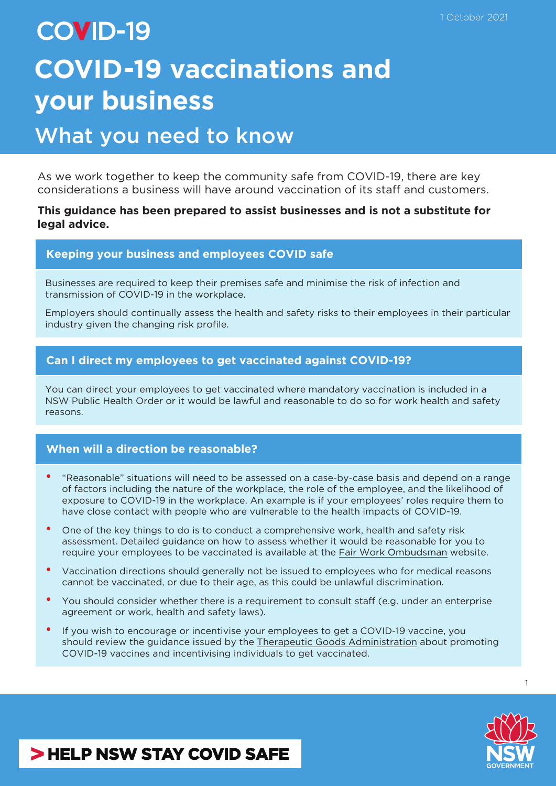# **COVID-19 COVID-19 vaccinations and your business**

## What you need to know

As we work together to keep the community safe from COVID-19, there are key considerations a business will have around vaccination of its staff and customers.

### **This guidance has been prepared to assist businesses and is not a substitute for legal advice.**

### **Keeping your business and employees COVID safe**

Businesses are required to keep their premises safe and minimise the risk of infection and transmission of COVID-19 in the workplace.

Employers should continually assess the health and safety risks to their employees in their particular industry given the changing risk profile.

### **Can I direct my employees to get vaccinated against COVID-19?**

You can direct your employees to get vaccinated where mandatory vaccination is included in a NSW Public Health Order or it would be lawful and reasonable to do so for work health and safety reasons.

#### **When will a direction be reasonable?**

- "Reasonable" situations will need to be assessed on a case-by-case basis and depend on a range of factors including the nature of the workplace, the role of the employee, and the likelihood of exposure to COVID-19 in the workplace. An example is if your employees' roles require them to have close contact with people who are vulnerable to the health impacts of COVID-19.
- One of the key things to do is to conduct a comprehensive work, health and safety risk assessment. Detailed guidance on how to assess whether it would be reasonable for you to require your employees to be vaccinated is available at the [Fair Work Ombudsman](https://coronavirus.fairwork.gov.au/coronavirus-and-australian-workplace-laws/covid-19-vaccinations-and-the-workplace/covid-19-vaccinations-workplace-rights-and-obligations) website.
- Vaccination directions should generally not be issued to employees who for medical reasons cannot be vaccinated, or due to their age, as this could be unlawful discrimination.
- You should consider whether there is a requirement to consult staff (e.g. under an enterprise agreement or work, health and safety laws).
- If you wish to encourage or incentivise your employees to get a COVID-19 vaccine, you should review the guidance issued by the [Therapeutic Goods Administration](https://www.tga.gov.au/communicating-about-covid-19-vaccines) about promoting COVID-19 vaccines and incentivising individuals to get vaccinated.



1

### > HELP NSW STAY COVID SAFE